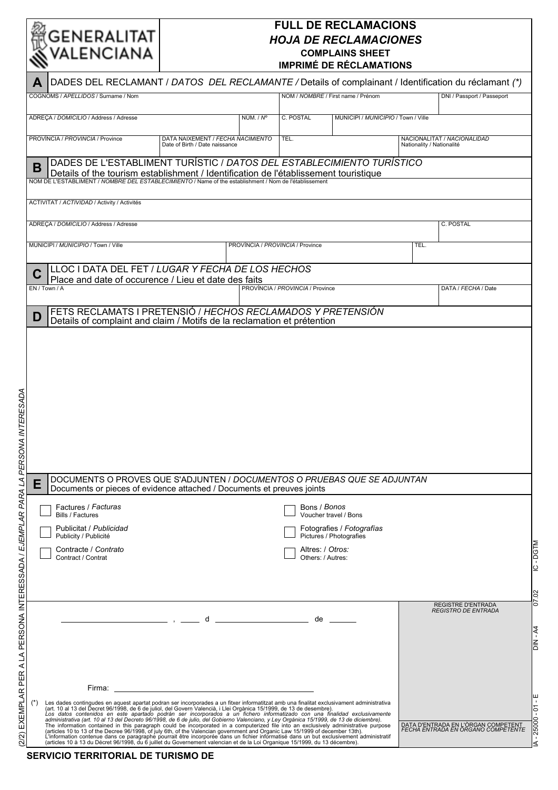## 

## **FULL DE RECLAMACIONS** *HOJA DE RECLAMACIONES* **COMPLAINS SHEET IMPRIMÉ DE RÉCLAMATIONS**

| $\boldsymbol{\mathcal{N}}$          |                                                                                                                                                                                                |                                                                     |                                  | <b>IMPRIME DE RECLAMATIONS</b>        |                                                                                                                                                                                                                                |                           |                                                                                                       |
|-------------------------------------|------------------------------------------------------------------------------------------------------------------------------------------------------------------------------------------------|---------------------------------------------------------------------|----------------------------------|---------------------------------------|--------------------------------------------------------------------------------------------------------------------------------------------------------------------------------------------------------------------------------|---------------------------|-------------------------------------------------------------------------------------------------------|
| A                                   |                                                                                                                                                                                                |                                                                     |                                  |                                       |                                                                                                                                                                                                                                |                           | DADES DEL RECLAMANT / DATOS DEL RECLAMANTE / Details of complainant / Identification du réclamant (*) |
|                                     | COGNOMS / APELLIDOS / Surname / Nom                                                                                                                                                            |                                                                     |                                  |                                       | NOM / NOMBRE / First name / Prénom                                                                                                                                                                                             |                           | DNI / Passport / Passeport                                                                            |
|                                     | ADRECA / DOMICILIO / Address / Adresse                                                                                                                                                         |                                                                     | NÚM. / N°                        | C. POSTAL                             | MUNICIPI / MUNICIPIO / Town / Ville                                                                                                                                                                                            |                           |                                                                                                       |
|                                     |                                                                                                                                                                                                |                                                                     |                                  |                                       |                                                                                                                                                                                                                                |                           |                                                                                                       |
| PROVÍNCIA / PROVINCIA / Province    |                                                                                                                                                                                                | DATA NAIXEMENT / FECHA NACIMIENTO<br>Date of Birth / Date naissance |                                  | TEL.                                  |                                                                                                                                                                                                                                | Nationality / Nationalité | NACIONALITAT / NACIONALIDAD                                                                           |
| в                                   |                                                                                                                                                                                                |                                                                     |                                  |                                       | DADES DE L'ESTABLIMENT TURÍSTIC / DATOS DEL ESTABLECIMIENTO TURÍSTICO                                                                                                                                                          |                           |                                                                                                       |
|                                     | Details of the tourism establishment / Identification de l'établissement touristique<br>NOM DE L'ESTABLIMENT / NOMBRE DEL ESTABLECIMIENTO / Name of the establishment / Nom de l'établissement |                                                                     |                                  |                                       |                                                                                                                                                                                                                                |                           |                                                                                                       |
|                                     |                                                                                                                                                                                                |                                                                     |                                  |                                       |                                                                                                                                                                                                                                |                           |                                                                                                       |
|                                     | ACTIVITAT / ACTIVIDAD / Activity / Activités                                                                                                                                                   |                                                                     |                                  |                                       |                                                                                                                                                                                                                                |                           |                                                                                                       |
|                                     | ADREÇA / DOMICILIO / Address / Adresse                                                                                                                                                         |                                                                     |                                  |                                       |                                                                                                                                                                                                                                |                           | C. POSTAL                                                                                             |
| MUNICIPI / MUNICIPIO / Town / Ville |                                                                                                                                                                                                |                                                                     | PROVÍNCIA / PROVINCIA / Province |                                       |                                                                                                                                                                                                                                | TEL.                      |                                                                                                       |
|                                     |                                                                                                                                                                                                |                                                                     |                                  |                                       |                                                                                                                                                                                                                                |                           |                                                                                                       |
|                                     | LLOC I DATA DEL FET / LUGAR Y FECHA DE LOS HECHOS<br>Place and date of occurence / Lieu et date des faits                                                                                      |                                                                     |                                  |                                       |                                                                                                                                                                                                                                |                           |                                                                                                       |
| EN / Town / A                       |                                                                                                                                                                                                |                                                                     |                                  | PROVÍNCIA / PROVINCIA / Province      |                                                                                                                                                                                                                                |                           | DATA / FECHA / Date                                                                                   |
|                                     | FETS RECLAMATS I PRETENSIÓ / HECHOS RECLAMADOS Y PRETENSIÓN                                                                                                                                    |                                                                     |                                  |                                       |                                                                                                                                                                                                                                |                           |                                                                                                       |
| D                                   | Details of complaint and claim / Motifs de la reclamation et prétention                                                                                                                        |                                                                     |                                  |                                       |                                                                                                                                                                                                                                |                           |                                                                                                       |
|                                     |                                                                                                                                                                                                |                                                                     |                                  |                                       |                                                                                                                                                                                                                                |                           |                                                                                                       |
|                                     |                                                                                                                                                                                                |                                                                     |                                  |                                       |                                                                                                                                                                                                                                |                           |                                                                                                       |
|                                     |                                                                                                                                                                                                |                                                                     |                                  |                                       |                                                                                                                                                                                                                                |                           |                                                                                                       |
|                                     |                                                                                                                                                                                                |                                                                     |                                  |                                       |                                                                                                                                                                                                                                |                           |                                                                                                       |
|                                     |                                                                                                                                                                                                |                                                                     |                                  |                                       |                                                                                                                                                                                                                                |                           |                                                                                                       |
|                                     |                                                                                                                                                                                                |                                                                     |                                  |                                       |                                                                                                                                                                                                                                |                           |                                                                                                       |
|                                     |                                                                                                                                                                                                |                                                                     |                                  |                                       |                                                                                                                                                                                                                                |                           |                                                                                                       |
|                                     |                                                                                                                                                                                                |                                                                     |                                  |                                       |                                                                                                                                                                                                                                |                           |                                                                                                       |
|                                     |                                                                                                                                                                                                |                                                                     |                                  |                                       |                                                                                                                                                                                                                                |                           |                                                                                                       |
|                                     |                                                                                                                                                                                                |                                                                     |                                  |                                       |                                                                                                                                                                                                                                |                           |                                                                                                       |
|                                     |                                                                                                                                                                                                |                                                                     |                                  |                                       |                                                                                                                                                                                                                                |                           |                                                                                                       |
|                                     |                                                                                                                                                                                                |                                                                     |                                  |                                       |                                                                                                                                                                                                                                |                           |                                                                                                       |
|                                     |                                                                                                                                                                                                |                                                                     |                                  |                                       |                                                                                                                                                                                                                                |                           |                                                                                                       |
|                                     |                                                                                                                                                                                                |                                                                     |                                  |                                       | DOCUMENTS O PROVES QUE S'ADJUNTEN / DOCUMENTOS O PRUEBAS QUE SE ADJUNTAN                                                                                                                                                       |                           |                                                                                                       |
|                                     | Documents or pieces of evidence attached / Documents et preuves joints                                                                                                                         |                                                                     |                                  |                                       |                                                                                                                                                                                                                                |                           |                                                                                                       |
| <b>Bills / Factures</b>             | Factures / Facturas                                                                                                                                                                            |                                                                     |                                  | Bons / Bonos                          | Voucher travel / Bons                                                                                                                                                                                                          |                           |                                                                                                       |
|                                     | Publicitat / Publicidad                                                                                                                                                                        |                                                                     |                                  |                                       | Fotografies / Fotografías                                                                                                                                                                                                      |                           |                                                                                                       |
|                                     | Publicity / Publicité                                                                                                                                                                          |                                                                     |                                  |                                       | Pictures / Photografies                                                                                                                                                                                                        |                           |                                                                                                       |
|                                     | Contracte / Contrato<br>Contract / Contrat                                                                                                                                                     |                                                                     |                                  | Altres: / Otros:<br>Others: / Autres: |                                                                                                                                                                                                                                |                           |                                                                                                       |
|                                     |                                                                                                                                                                                                |                                                                     |                                  |                                       |                                                                                                                                                                                                                                |                           |                                                                                                       |
|                                     |                                                                                                                                                                                                |                                                                     |                                  |                                       |                                                                                                                                                                                                                                |                           |                                                                                                       |
|                                     |                                                                                                                                                                                                |                                                                     |                                  |                                       |                                                                                                                                                                                                                                |                           | <b>REGISTRE D'ENTRADA</b>                                                                             |
|                                     |                                                                                                                                                                                                |                                                                     |                                  |                                       | $de \fbox{}$                                                                                                                                                                                                                   |                           | <b>REGISTRO DE ENTRADA</b>                                                                            |
|                                     |                                                                                                                                                                                                |                                                                     |                                  |                                       |                                                                                                                                                                                                                                |                           |                                                                                                       |
|                                     |                                                                                                                                                                                                |                                                                     |                                  |                                       |                                                                                                                                                                                                                                |                           |                                                                                                       |
|                                     |                                                                                                                                                                                                |                                                                     |                                  |                                       |                                                                                                                                                                                                                                |                           |                                                                                                       |
|                                     |                                                                                                                                                                                                |                                                                     |                                  |                                       |                                                                                                                                                                                                                                |                           |                                                                                                       |
|                                     |                                                                                                                                                                                                |                                                                     |                                  |                                       |                                                                                                                                                                                                                                |                           |                                                                                                       |
|                                     | Firma:                                                                                                                                                                                         | <u> 1989 - Johann Stoff, fransk politik (d. 1989)</u>               |                                  |                                       |                                                                                                                                                                                                                                |                           |                                                                                                       |
|                                     |                                                                                                                                                                                                |                                                                     |                                  |                                       |                                                                                                                                                                                                                                |                           |                                                                                                       |
|                                     |                                                                                                                                                                                                |                                                                     |                                  |                                       |                                                                                                                                                                                                                                |                           |                                                                                                       |
|                                     |                                                                                                                                                                                                |                                                                     |                                  |                                       | Les dades contingudes en aquest apartat podran ser incorporades a un fitxer informatitzat amb una finalitat exclusivament administrativa (art. 10 al 13 del Decret 96/1998, de 6 de juliol, del Govern Valencià, i Llei Orgàni |                           | DATA D'ENTRADA EN L'ÒRGAN COMPETENT<br>FECHA ENTRADA EN ORGANO COMPETENTE                             |

**SERVICIO TERRITORIAL DE TURISMO DE**